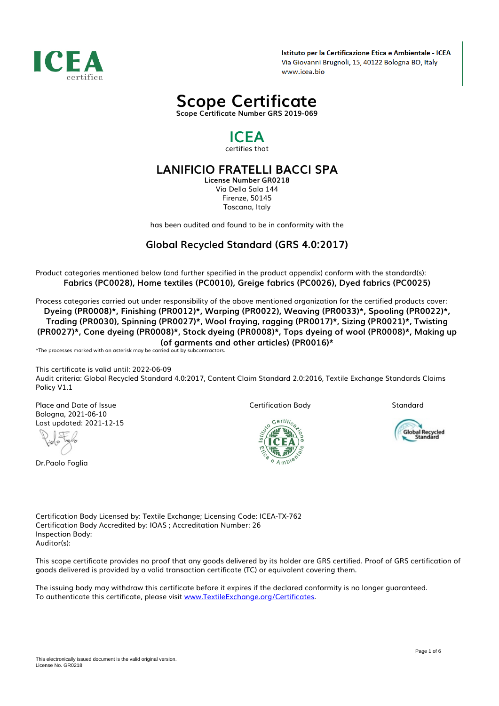

Istituto per la Certificazione Etica e Ambientale - ICEA Via Giovanni Brugnoli, 15, 40122 Bologna BO, Italy www.icea.bio



## *ICEA certifies that*

# *LANIFICIO FRATELLI BACCI SPA*

*License Number GR0218 Via Della Sala 144 Firenze, 50145 Toscana, Italy*

*has been audited and found to be in conformity with the*

## *Global Recycled Standard (GRS 4.0:2017)*

*Product categories mentioned below (and further specified in the product appendix) conform with the standard(s): Fabrics (PC0028), Home textiles (PC0010), Greige fabrics (PC0026), Dyed fabrics (PC0025)*

*Process categories carried out under responsibility of the above mentioned organization for the certified products cover: Dyeing (PR0008)\*, Finishing (PR0012)\*, Warping (PR0022), Weaving (PR0033)\*, Spooling (PR0022)\*, Trading (PR0030), Spinning (PR0027)\*, Wool fraying, ragging (PR0017)\*, Sizing (PR0021)\*, Twisting (PR0027)\*, Cone dyeing (PR0008)\*, Stock dyeing (PR0008)\*, Tops dyeing of wool (PR0008)\*, Making up (of garments and other articles) (PR0016)\**

*\*The processes marked with an asterisk may be carried out by subcontractors.*

*This certificate is valid until: 2022-06-09 Audit criteria: Global Recycled Standard 4.0:2017, Content Claim Standard 2.0:2016, Textile Exchange Standards Claims Policy V1.1*

*Place and Date of Issue Bologna, 2021-06-10 Last updated: 2021-12-15*

*Dr.Paolo Foglia*

*Certification Body*

*Standard*



Global Recycled<br>Standard

*Certification Body Licensed by: Textile Exchange; Licensing Code: ICEA-TX-762 Certification Body Accredited by: IOAS ; Accreditation Number: 26 Inspection Body: Auditor(s):*

*This scope certificate provides no proof that any goods delivered by its holder are GRS certified. Proof of GRS certification of goods delivered is provided by a valid transaction certificate (TC) or equivalent covering them.*

*The issuing body may withdraw this certificate before it expires if the declared conformity is no longer guaranteed. To authenticate this certificate, please visit [www.TextileExchange.org/Certificates](https://www.TextileExchange.org/Certificates).*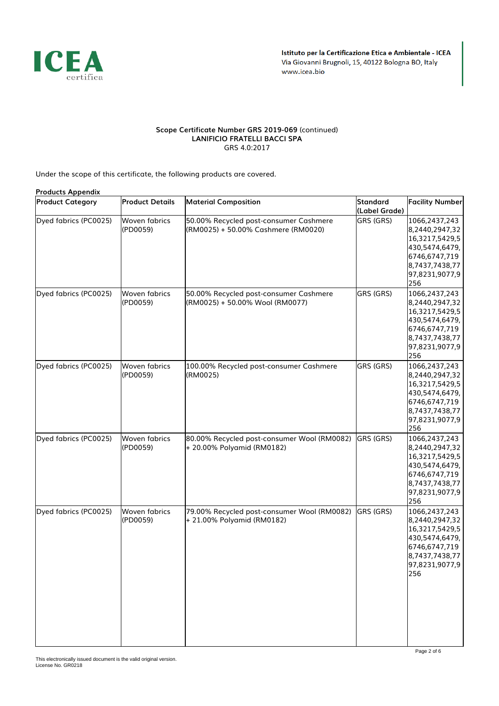

#### *Scope Certificate Number GRS 2019-069 (continued) LANIFICIO FRATELLI BACCI SPA GRS 4.0:2017*

*Under the scope of this certificate, the following products are covered.*

|                         | <b>Products Appendix</b>         |                                                                               |                           |                                                                                                                                 |  |  |  |
|-------------------------|----------------------------------|-------------------------------------------------------------------------------|---------------------------|---------------------------------------------------------------------------------------------------------------------------------|--|--|--|
| <b>Product Category</b> | <b>Product Details</b>           | <b>Material Composition</b>                                                   | Standard<br>(Label Grade) | <b>Facility Number</b>                                                                                                          |  |  |  |
| Dyed fabrics (PC0025)   | Woven fabrics<br>(PD0059)        | 50.00% Recycled post-consumer Cashmere<br>(RM0025) + 50.00% Cashmere (RM0020) | GRS (GRS)                 | 1066,2437,243<br>8,2440,2947,32<br>16,3217,5429,5<br>430,5474,6479,<br>6746,6747,719<br>8,7437,7438,77<br>97,8231,9077,9<br>256 |  |  |  |
| Dyed fabrics (PC0025)   | Woven fabrics<br>(PD0059)        | 50.00% Recycled post-consumer Cashmere<br>(RM0025) + 50.00% Wool (RM0077)     | GRS (GRS)                 | 1066,2437,243<br>8,2440,2947,32<br>16,3217,5429,5<br>430,5474,6479,<br>6746,6747,719<br>8,7437,7438,77<br>97,8231,9077,9<br>256 |  |  |  |
| Dyed fabrics (PC0025)   | Woven fabrics<br>(PD0059)        | 100.00% Recycled post-consumer Cashmere<br>(RM0025)                           | GRS (GRS)                 | 1066,2437,243<br>8,2440,2947,32<br>16,3217,5429,5<br>430,5474,6479,<br>6746,6747,719<br>8,7437,7438,77<br>97,8231,9077,9<br>256 |  |  |  |
| Dyed fabrics (PC0025)   | Woven fabrics<br>(PD0059)        | 80.00% Recycled post-consumer Wool (RM0082)<br>+ 20.00% Polyamid (RM0182)     | GRS (GRS)                 | 1066,2437,243<br>8,2440,2947,32<br>16,3217,5429,5<br>430,5474,6479,<br>6746,6747,719<br>8,7437,7438,77<br>97,8231,9077,9<br>256 |  |  |  |
| Dyed fabrics (PC0025)   | <b>Woven fabrics</b><br>(PD0059) | 79.00% Recycled post-consumer Wool (RM0082)<br>+ 21.00% Polyamid (RM0182)     | GRS (GRS)                 | 1066,2437,243<br>8,2440,2947,32<br>16,3217,5429,5<br>430,5474,6479,<br>6746,6747,719<br>8,7437,7438,77<br>97,8231,9077,9<br>256 |  |  |  |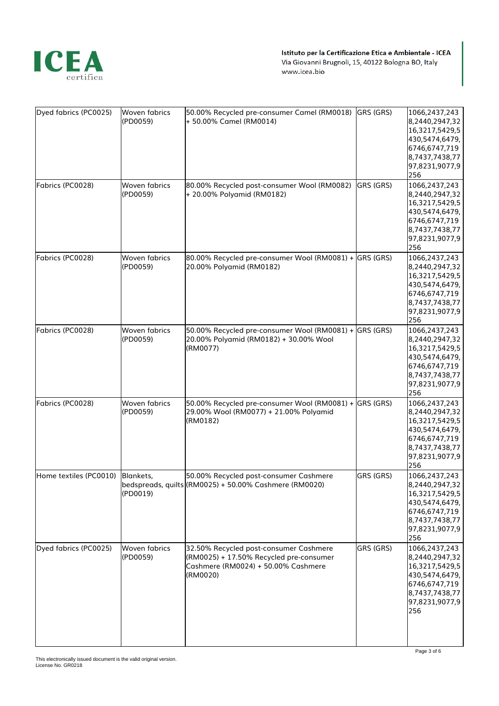

| Dyed fabrics (PC0025)  | <b>Woven fabrics</b><br>(PD0059) | 50.00% Recycled pre-consumer Camel (RM0018)<br>+ 50.00% Camel (RM0014)                                                               | GRS (GRS) | 1066,2437,243<br>8,2440,2947,32<br>16,3217,5429,5<br>430,5474,6479,<br>6746,6747,719<br>8,7437,7438,77<br>97,8231,9077,9<br>256 |
|------------------------|----------------------------------|--------------------------------------------------------------------------------------------------------------------------------------|-----------|---------------------------------------------------------------------------------------------------------------------------------|
| Fabrics (PC0028)       | Woven fabrics<br>(PD0059)        | 80.00% Recycled post-consumer Wool (RM0082)<br>+ 20.00% Polyamid (RM0182)                                                            | GRS (GRS) | 1066,2437,243<br>8,2440,2947,32<br>16,3217,5429,5<br>430,5474,6479,<br>6746,6747,719<br>8,7437,7438,77<br>97,8231,9077,9<br>256 |
| Fabrics (PC0028)       | Woven fabrics<br>(PD0059)        | 80.00% Recycled pre-consumer Wool (RM0081) + GRS (GRS)<br>20.00% Polyamid (RM0182)                                                   |           | 1066,2437,243<br>8,2440,2947,32<br>16,3217,5429,5<br>430,5474,6479,<br>6746,6747,719<br>8,7437,7438,77<br>97,8231,9077,9<br>256 |
| Fabrics (PC0028)       | Woven fabrics<br>(PD0059)        | 50.00% Recycled pre-consumer Wool (RM0081) + GRS (GRS)<br>20.00% Polyamid (RM0182) + 30.00% Wool<br>(RM0077)                         |           | 1066,2437,243<br>8,2440,2947,32<br>16,3217,5429,5<br>430,5474,6479,<br>6746,6747,719<br>8,7437,7438,77<br>97,8231,9077,9<br>256 |
| Fabrics (PC0028)       | Woven fabrics<br>(PD0059)        | 50.00% Recycled pre-consumer Wool (RM0081) + GRS (GRS)<br>29.00% Wool (RM0077) + 21.00% Polyamid<br>(RM0182)                         |           | 1066,2437,243<br>8,2440,2947,32<br>16,3217,5429,5<br>430,5474,6479,<br>6746,6747,719<br>8,7437,7438,77<br>97,8231,9077,9<br>256 |
| Home textiles (PC0010) | Blankets,<br>(PD0019)            | 50.00% Recycled post-consumer Cashmere<br>bedspreads, quilts (RM0025) + 50.00% Cashmere (RM0020)                                     | GRS (GRS) | 1066,2437,243<br>8,2440,2947,32<br>16,3217,5429,5<br>430,5474,6479,<br>6746,6747,719<br>8,7437,7438,77<br>97,8231,9077,9<br>256 |
| Dyed fabrics (PC0025)  | <b>Woven fabrics</b><br>(PD0059) | 32.50% Recycled post-consumer Cashmere<br>(RM0025) + 17.50% Recycled pre-consumer<br>Cashmere (RM0024) + 50.00% Cashmere<br>(RM0020) | GRS (GRS) | 1066,2437,243<br>8,2440,2947,32<br>16,3217,5429,5<br>430,5474,6479,<br>6746,6747,719<br>8,7437,7438,77<br>97,8231,9077,9<br>256 |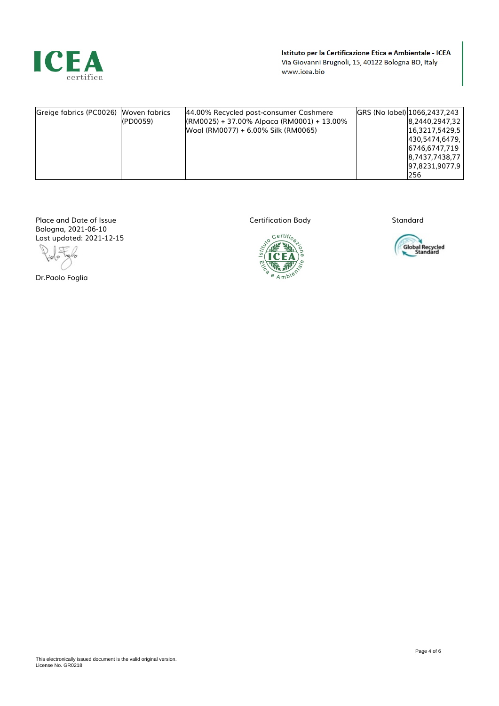

Istituto per la Certificazione Etica e Ambientale - ICEA Via Giovanni Brugnoli, 15, 40122 Bologna BO, Italy www.icea.bio

| Greige fabrics (PC0026) Woven fabrics | $I($ PD0059 $)$ | 44.00% Recycled post-consumer Cashmere<br>$[(RM0025) + 37.00\%$ Alpaca (RM0001) + 13.00%<br>Wool (RM0077) + 6.00% Silk (RM0065) |  | GRS (No label) 1066, 2437, 243<br>8,2440,2947,32<br>16.3217.5429.5<br>[430,5474,6479,]<br>6746.6747.719<br>8,7437,7438,77<br> 97,8231,9077,9 <br>l256 |
|---------------------------------------|-----------------|---------------------------------------------------------------------------------------------------------------------------------|--|-------------------------------------------------------------------------------------------------------------------------------------------------------|
|---------------------------------------|-----------------|---------------------------------------------------------------------------------------------------------------------------------|--|-------------------------------------------------------------------------------------------------------------------------------------------------------|

*Place and Date of Issue Bologna, 2021-06-10 Last updated: 2021-12-15*

l, I, Golo

*Dr.Paolo Foglia*



*Standard*

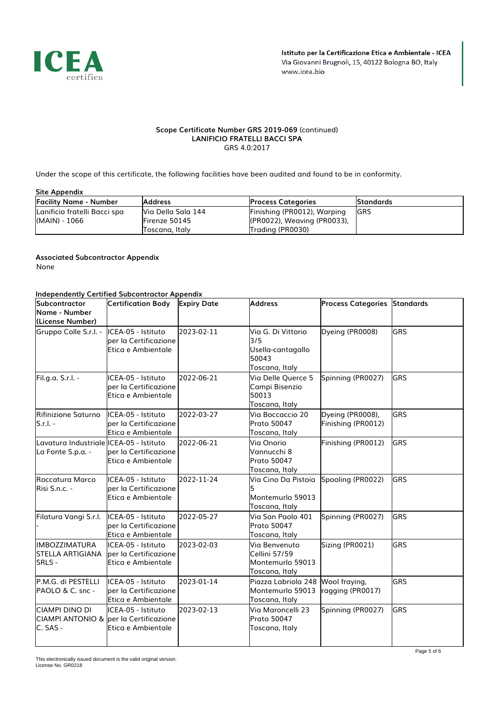

#### *Scope Certificate Number GRS 2019-069 (continued) LANIFICIO FRATELLI BACCI SPA GRS 4.0:2017*

*Under the scope of this certificate, the following facilities have been audited and found to be in conformity.*

#### *Site Appendix*

| <b>Facility Name - Number</b> | <b>Address</b>        | <b>Process Categories</b>       | <b>Standards</b> |
|-------------------------------|-----------------------|---------------------------------|------------------|
| Lanificio fratelli Bacci spa  | IVia Della Sala 144   | Finishing (PR0012), Warping     | <b>IGRS</b>      |
| (MAIN) - 1066                 | <b>IFirenze 50145</b> | $[(PROO22)$ , Weaving (PR0033), |                  |
|                               | Toscana, Italy        | Trading (PR0030)                |                  |

### *Associated Subcontractor Appendix*

*None*

### *Independently Certified Subcontractor Appendix*

| aepenae, ee.<br><b>Subcontractor</b><br>Name - Number<br>(License Number)                  | <b>Certification Body</b>                                            | <b>Expiry Date</b> | <b>Address</b>                                                            | <b>Process Categories Standards</b>    |            |
|--------------------------------------------------------------------------------------------|----------------------------------------------------------------------|--------------------|---------------------------------------------------------------------------|----------------------------------------|------------|
| Gruppo Colle S.r.l. -                                                                      | ICEA-05 - Istituto<br>lper la Certificazione<br>lEtica e Ambientale  | 2023-02-11         | Via G. Di Vittorio<br>3/5<br>Usella-cantagallo<br>50043<br>Toscana, Italy | Dyeing (PR0008)                        | <b>GRS</b> |
| Fil.g.a. S.r.l. -                                                                          | ICEA-05 - Istituto<br>per la Certificazione<br>Etica e Ambientale    | 2022-06-21         | Via Delle Querce 5<br>Campi Bisenzio<br>50013<br>Toscana, Italy           | Spinning (PR0027)                      | <b>GRS</b> |
| Rifinizione Saturno<br>lS.r.I. -                                                           | IICEA-05 - Istituto<br>lper la Certificazione<br>lEtica e Ambientale | 2022-03-27         | Via Boccaccio 20<br>Prato 50047<br>Toscana, Italy                         | Dyeing (PR0008),<br>Finishing (PR0012) | <b>GRS</b> |
| Lavatura Industriale ICEA-05 - Istituto<br>La Fonte S.p.a. -                               | per la Certificazione<br>Etica e Ambientale                          | 2022-06-21         | Via Onorio<br>Vannucchi 8<br><b>Prato 50047</b><br>Toscana, Italy         | Finishing (PR0012)                     | <b>GRS</b> |
| Roccatura Marco<br>Risi S.n.c. -                                                           | ICEA-05 - Istituto<br>per la Certificazione<br>Etica e Ambientale    | 2022-11-24         | Via Cino Da Pistoia<br>Montemurlo 59013<br>Toscana, Italy                 | Spooling (PR0022)                      | <b>GRS</b> |
| Filatura Vangi S.r.l.                                                                      | ICEA-05 - Istituto<br>per la Certificazione<br>Etica e Ambientale    | 2022-05-27         | Via San Paolo 401<br><b>Prato 50047</b><br>Toscana, Italy                 | Spinning (PR0027)                      | <b>GRS</b> |
| <b>IMBOZZIMATURA</b><br><b>STELLA ARTIGIANA</b><br><b>SRLS -</b>                           | ICEA-05 - Istituto<br>lper la Certificazione<br>Etica e Ambientale   | 2023-02-03         | Via Benvenuto<br>Cellini 57/59<br>Montemurlo 59013<br>Toscana, Italy      | Sizing (PR0021)                        | <b>GRS</b> |
| P.M.G. di PESTELLI<br><b>IPAOLO &amp; C. snc -</b>                                         | ICEA-05 - Istituto<br>lper la Certificazione<br>lEtica e Ambientale  | 2023-01-14         | Piazza Labriola 248<br>Montemurlo 59013<br>Toscana, Italy                 | Wool fraying,<br>ragging (PR0017)      | <b>GRS</b> |
| <b>CIAMPI DINO DI</b><br><b>ICIAMPI ANTONIO &amp; l</b> per la Certificazione<br>IC. SAS - | ICEA-05 - Istituto<br>Etica e Ambientale                             | 2023-02-13         | Via Maroncelli 23<br><b>Prato 50047</b><br>Toscana, Italy                 | Spinning (PR0027)                      | <b>GRS</b> |